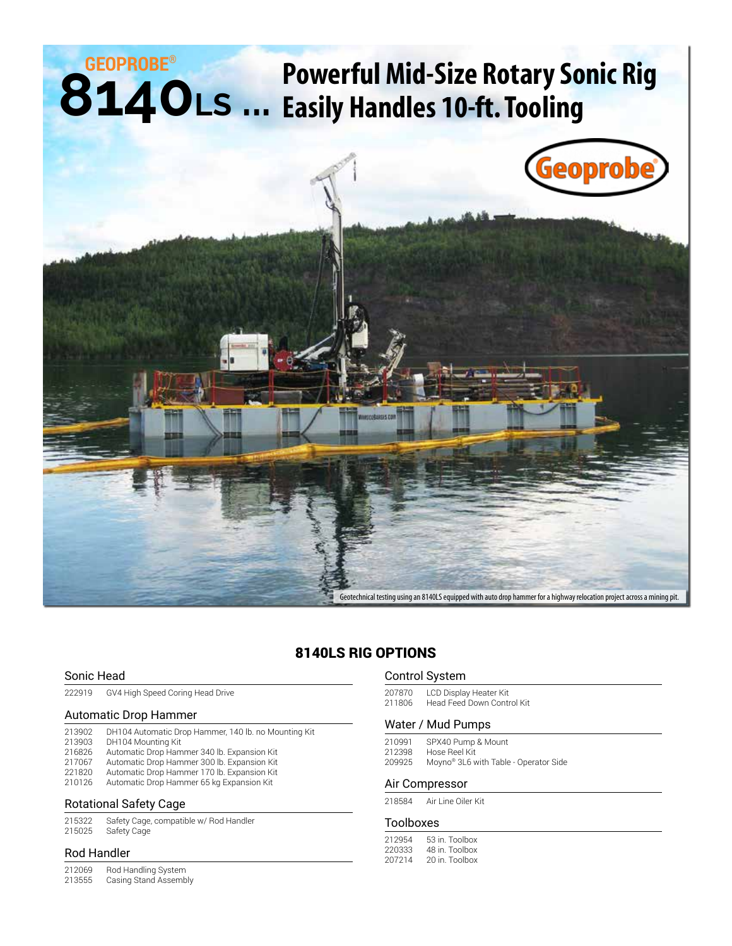## **8140LS ... GEOPROBE® Powerful Mid-Size Rotary Sonic Rig Easily Handles 10-ft. Tooling**



### 8140LS RIG OPTIONS

#### Sonic Head

| 222919 | GV4 High Speed Coring Head Drive |  |  |
|--------|----------------------------------|--|--|
|        |                                  |  |  |

#### Automatic Drop Hammer

| 213902 | DH104 Automatic Drop Hammer, 140 lb. no Mounting Kit |
|--------|------------------------------------------------------|
| 213903 | DH104 Mounting Kit                                   |
| 216826 | Automatic Drop Hammer 340 lb. Expansion Kit          |
| 217067 | Automatic Drop Hammer 300 lb. Expansion Kit          |
| 221820 | Automatic Drop Hammer 170 lb. Expansion Kit          |
| 210126 | Automatic Drop Hammer 65 kg Expansion Kit            |
|        |                                                      |

#### Rotational Safety Cage

| 215322 | Safety Cage, compatible w/ Rod Handler |
|--------|----------------------------------------|
| 215025 | Safety Cage                            |

#### Rod Handler

212069 Rod Handling System<br>213555 Casing Stand Assemb Casing Stand Assembly

#### Control System

207870 LCD Display Heater Kit<br>211806 Head Feed Down Contr Head Feed Down Control Kit

#### Water / Mud Pumps

210991 SPX40 Pump & Mount 212398 Hose Reel Kit 209925 Moyno® 3L6 with Table - Operator Side

#### Air Compressor

218584 Air Line Oiler Kit

#### Toolboxes

| 212954 | 53 in. Toolbox |
|--------|----------------|
| 220333 | 48 in Toolbox  |
| 207214 | 20 in. Toolbox |